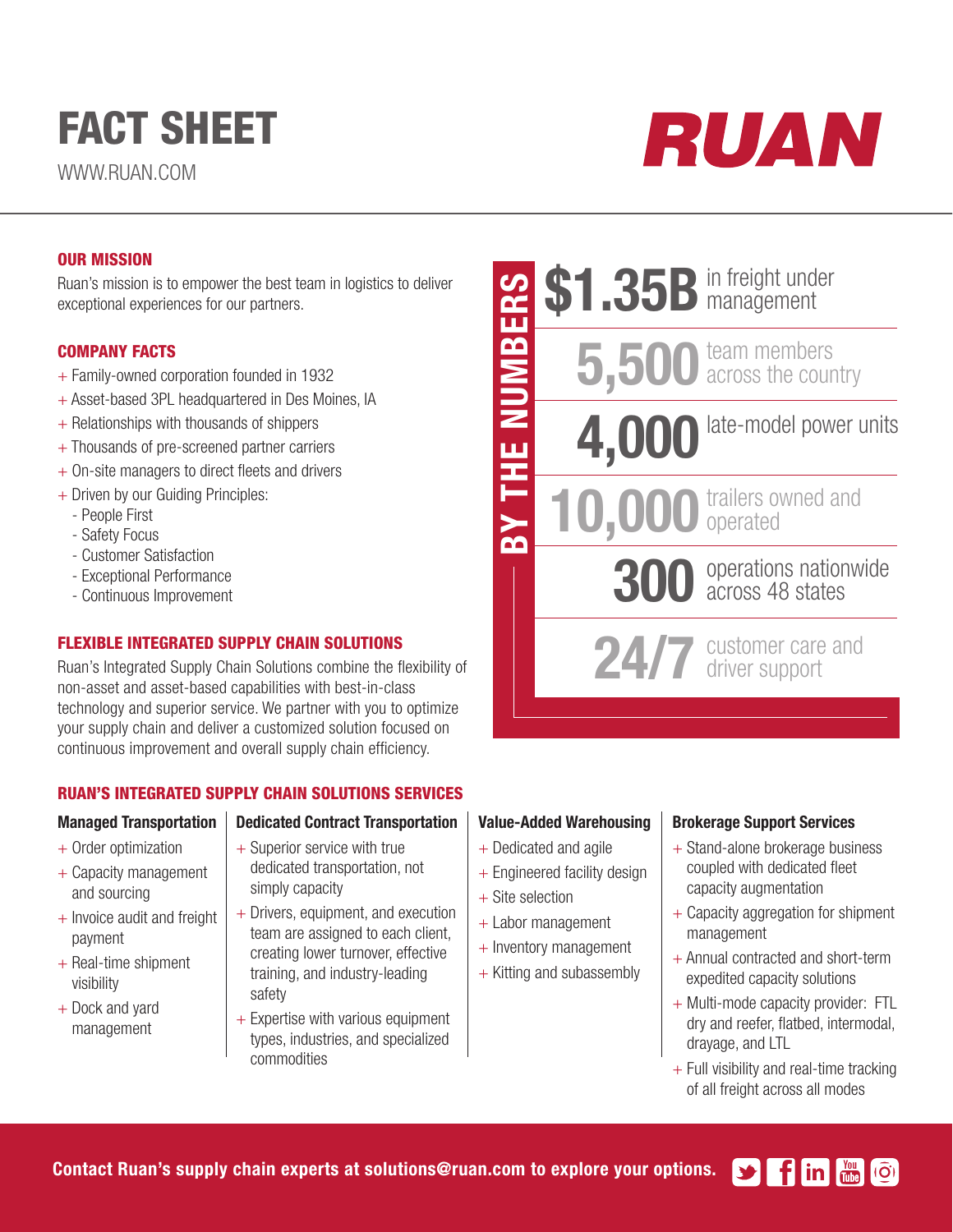# FACT SHEET

WWW.RUAN.COM



## OUR MISSION

Ruan's mission is to empower the best team in logistics to deliver exceptional experiences for our partners.

## COMPANY FACTS

- + Family-owned corporation founded in 1932
- + Asset-based 3PL headquartered in Des Moines, IA
- $+$  Relationships with thousands of shippers
- + Thousands of pre-screened partner carriers
- + On-site managers to direct fleets and drivers
- + Driven by our Guiding Principles:
	- People First
	- Safety Focus
	- Customer Satisfaction
	- Exceptional Performance
	- Continuous Improvement

## FLEXIBLE INTEGRATED SUPPLY CHAIN SOLUTIONS

Ruan's Integrated Supply Chain Solutions combine the flexibility of non-asset and asset-based capabilities with best-in-class technology and superior service. We partner with you to optimize your supply chain and deliver a customized solution focused on continuous improvement and overall supply chain efficiency.

## RUAN'S INTEGRATED SUPPLY CHAIN SOLUTIONS SERVICES

#### Managed Transportation

- + Order optimization
- + Capacity management and sourcing
- $+$  Invoice audit and freight payment
- $+$  Real-time shipment visibility
- + Dock and yard management

### Dedicated Contract Transportation

- + Superior service with true dedicated transportation, not simply capacity
- + Drivers, equipment, and execution team are assigned to each client, creating lower turnover, effective training, and industry-leading safety
- $+$  Expertise with various equipment types, industries, and specialized commodities

# \$1.35B in freight under **THE NUMBERS** BY THE NUMBERS5,500 team members team members 4,000 late-model power units trailers owned and 10,000 operated  $\sum$ 300 operations nationwide across 48 states 24/7 customer care customer care and

## Value-Added Warehousing

- + Dedicated and agile
- + Engineered facility design
- $+$  Site selection
- + Labor management
- $+$  Inventory management
- + Kitting and subassembly

### Brokerage Support Services

- + Stand-alone brokerage business coupled with dedicated fleet capacity augmentation
- + Capacity aggregation for shipment management
- + Annual contracted and short-term expedited capacity solutions
- + Multi-mode capacity provider: FTL dry and reefer, flatbed, intermodal, drayage, and LTL
- $+$  Full visibility and real-time tracking of all freight across all modes

Contact Ruan's supply chain experts at solutions@ruan.com to explore your options.  $\blacktriangleright$  fin  $\mathbb{R}$  (o)